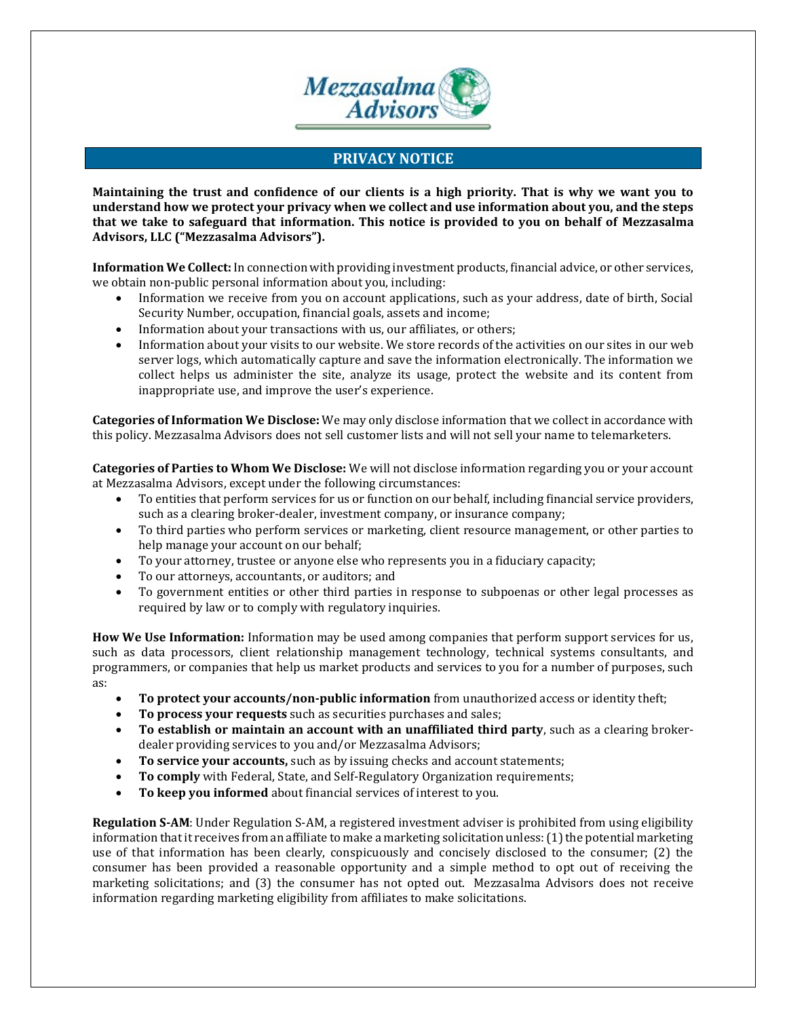

## **PRIVACY NOTICE**

**Maintaining the trust and confidence of our clients is a high priority. That is why we want you to understand how we protect your privacy when we collect and use information about you, and the steps that we take to safeguard that information. This notice is provided to you on behalf of Mezzasalma Advisors, LLC ("Mezzasalma Advisors").**

**Information We Collect:** In connection with providing investment products, financial advice, or other services, we obtain non-public personal information about you, including:

- Information we receive from you on account applications, such as your address, date of birth, Social Security Number, occupation, financial goals, assets and income;
- Information about your transactions with us, our affiliates, or others:
- Information about your visits to our website. We store records of the activities on our sites in our web server logs, which automatically capture and save the information electronically. The information we collect helps us administer the site, analyze its usage, protect the website and its content from inappropriate use, and improve the user's experience.

**Categories of Information We Disclose:** We may only disclose information that we collect in accordance with this policy. Mezzasalma Advisors does not sell customer lists and will not sell your name to telemarketers.

**Categories of Parties to Whom We Disclose:** We will not disclose information regarding you or your account at Mezzasalma Advisors, except under the following circumstances:

- To entities that perform services for us or function on our behalf, including financial service providers, such as a clearing broker-dealer, investment company, or insurance company;
- To third parties who perform services or marketing, client resource management, or other parties to help manage your account on our behalf;
- To your attorney, trustee or anyone else who represents you in a fiduciary capacity;
- To our attorneys, accountants, or auditors; and
- To government entities or other third parties in response to subpoenas or other legal processes as required by law or to comply with regulatory inquiries.

**How We Use Information:** Information may be used among companies that perform support services for us, such as data processors, client relationship management technology, technical systems consultants, and programmers, or companies that help us market products and services to you for a number of purposes, such as:

- **To protect your accounts/non-public information** from unauthorized access or identity theft;
- **To process your requests** such as securities purchases and sales;
- **To establish or maintain an account with an unaffiliated third party**, such as a clearing brokerdealer providing services to you and/or Mezzasalma Advisors;
- **To service your accounts,** such as by issuing checks and account statements;
- **To comply** with Federal, State, and Self-Regulatory Organization requirements;
- **To keep you informed** about financial services of interest to you.

**Regulation S-AM**: Under Regulation S-AM, a registered investment adviser is prohibited from using eligibility information that it receives from an affiliate to make a marketing solicitation unless: (1) the potential marketing use of that information has been clearly, conspicuously and concisely disclosed to the consumer; (2) the consumer has been provided a reasonable opportunity and a simple method to opt out of receiving the marketing solicitations; and (3) the consumer has not opted out. Mezzasalma Advisors does not receive information regarding marketing eligibility from affiliates to make solicitations.